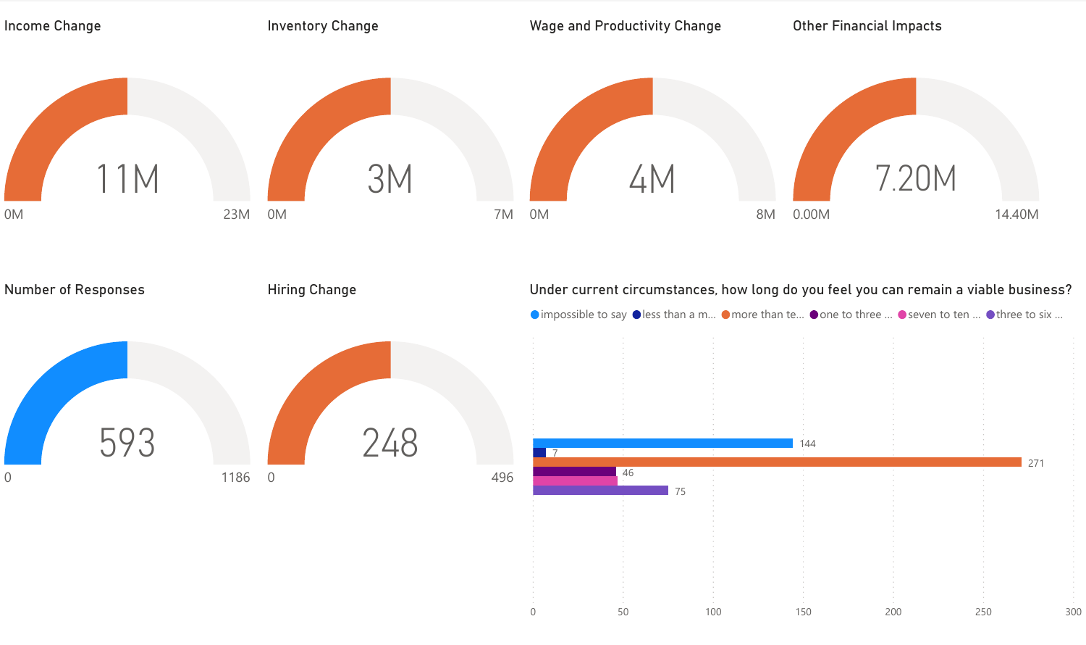